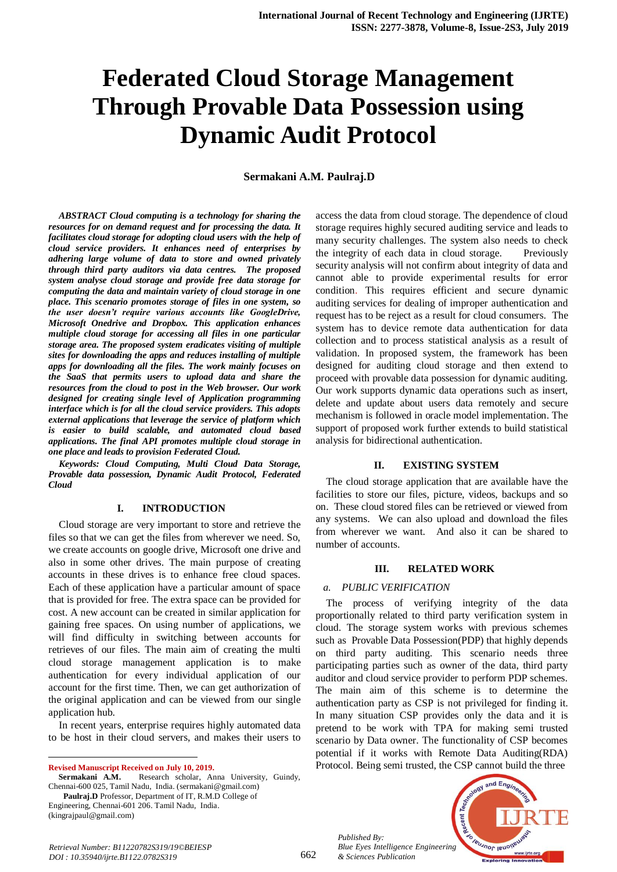# **Federated Cloud Storage Management Through Provable Data Possession using Dynamic Audit Protocol**

**Sermakani A.M. Paulraj.D**

*ABSTRACT Cloud computing is a technology for sharing the resources for on demand request and for processing the data. It facilitates cloud storage for adopting cloud users with the help of cloud service providers. It enhances need of enterprises by adhering large volume of data to store and owned privately through third party auditors via data centres. The proposed system analyse cloud storage and provide free data storage for computing the data and maintain variety of cloud storage in one place. This scenario promotes storage of files in one system, so the user doesn't require various accounts like GoogleDrive, Microsoft Onedrive and Dropbox. This application enhances multiple cloud storage for accessing all files in one particular storage area. The proposed system eradicates visiting of multiple sites for downloading the apps and reduces installing of multiple apps for downloading all the files. The work mainly focuses on the SaaS that permits users to upload data and share the resources from the cloud to post in the Web browser. Our work designed for creating single level of Application programming interface which is for all the cloud service providers. This adopts external applications that leverage the service of platform which is easier to build scalable, and automated cloud based applications. The final API promotes multiple cloud storage in one place and leads to provision Federated Cloud.*

*Keywords: Cloud Computing, Multi Cloud Data Storage, Provable data possession, Dynamic Audit Protocol, Federated Cloud*

#### **I. INTRODUCTION**

Cloud storage are very important to store and retrieve the files so that we can get the files from wherever we need. So, we create accounts on google drive, Microsoft one drive and also in some other drives. The main purpose of creating accounts in these drives is to enhance free cloud spaces. Each of these application have a particular amount of space that is provided for free. The extra space can be provided for cost. A new account can be created in similar application for gaining free spaces. On using number of applications, we will find difficulty in switching between accounts for retrieves of our files. The main aim of creating the multi cloud storage management application is to make authentication for every individual application of our account for the first time. Then, we can get authorization of the original application and can be viewed from our single application hub.

In recent years, enterprise requires highly automated data to be host in their cloud servers, and makes their users to

**Paulraj.D** Professor, Department of IT, R.M.D College of Engineering, Chennai-601 206. Tamil Nadu, India. (kingrajpaul@gmail.com)

access the data from cloud storage. The dependence of cloud storage requires highly secured auditing service and leads to many security challenges. The system also needs to check the integrity of each data in cloud storage. Previously security analysis will not confirm about integrity of data and cannot able to provide experimental results for error condition. This requires efficient and secure dynamic auditing services for dealing of improper authentication and request has to be reject as a result for cloud consumers. The system has to device remote data authentication for data collection and to process statistical analysis as a result of validation. In proposed system, the framework has been designed for auditing cloud storage and then extend to proceed with provable data possession for dynamic auditing. Our work supports dynamic data operations such as insert, delete and update about users data remotely and secure mechanism is followed in oracle model implementation. The support of proposed work further extends to build statistical analysis for bidirectional authentication.

#### **II. EXISTING SYSTEM**

The cloud storage application that are available have the facilities to store our files, picture, videos, backups and so on. These cloud stored files can be retrieved or viewed from any systems. We can also upload and download the files from wherever we want. And also it can be shared to number of accounts.

#### **III. RELATED WORK**

#### *a. PUBLIC VERIFICATION*

The process of verifying integrity of the data proportionally related to third party verification system in cloud. The storage system works with previous schemes such as Provable Data Possession(PDP) that highly depends on third party auditing. This scenario needs three participating parties such as owner of the data, third party auditor and cloud service provider to perform PDP schemes. The main aim of this scheme is to determine the authentication party as CSP is not privileged for finding it. In many situation CSP provides only the data and it is pretend to be work with TPA for making semi trusted scenario by Data owner. The functionality of CSP becomes potential if it works with Remote Data Auditing(RDA) Protocol. Being semi trusted, the CSP cannot build the three

*Published By: Blue Eyes Intelligence Engineering & Sciences Publication* 



 $\overline{a}$ **Revised Manuscript Received on July 10, 2019.**

Research scholar, Anna University, Guindy, Chennai-600 025, Tamil Nadu, India. (sermakani@gmail.com)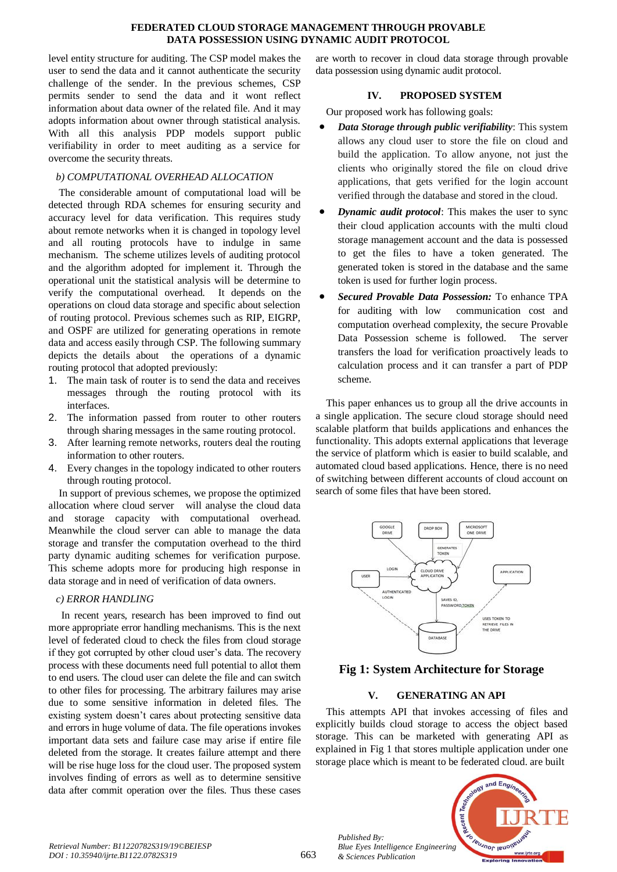#### **FEDERATED CLOUD STORAGE MANAGEMENT THROUGH PROVABLE DATA POSSESSION USING DYNAMIC AUDIT PROTOCOL**

level entity structure for auditing. The CSP model makes the user to send the data and it cannot authenticate the security challenge of the sender. In the previous schemes, CSP permits sender to send the data and it wont reflect information about data owner of the related file. And it may adopts information about owner through statistical analysis. With all this analysis PDP models support public verifiability in order to meet auditing as a service for overcome the security threats.

# *b) COMPUTATIONAL OVERHEAD ALLOCATION*

The considerable amount of computational load will be detected through RDA schemes for ensuring security and accuracy level for data verification. This requires study about remote networks when it is changed in topology level and all routing protocols have to indulge in same mechanism. The scheme utilizes levels of auditing protocol and the algorithm adopted for implement it. Through the operational unit the statistical analysis will be determine to verify the computational overhead. It depends on the operations on cloud data storage and specific about selection of routing protocol. Previous schemes such as RIP, EIGRP, and OSPF are utilized for generating operations in remote data and access easily through CSP. The following summary depicts the details about the operations of a dynamic routing protocol that adopted previously:

- 1. The main task of router is to send the data and receives messages through the routing protocol with its interfaces.
- 2. The information passed from router to other routers through sharing messages in the same routing protocol.
- 3. After learning remote networks, routers deal the routing information to other routers.
- 4. Every changes in the topology indicated to other routers through routing protocol.

In support of previous schemes, we propose the optimized allocation where cloud server will analyse the cloud data and storage capacity with computational overhead. Meanwhile the cloud server can able to manage the data storage and transfer the computation overhead to the third party dynamic auditing schemes for verification purpose. This scheme adopts more for producing high response in data storage and in need of verification of data owners.

## *c) ERROR HANDLING*

In recent years, research has been improved to find out more appropriate error handling mechanisms. This is the next level of federated cloud to check the files from cloud storage if they got corrupted by other cloud user's data. The recovery process with these documents need full potential to allot them to end users. The cloud user can delete the file and can switch to other files for processing. The arbitrary failures may arise due to some sensitive information in deleted files. The existing system doesn't cares about protecting sensitive data and errors in huge volume of data. The file operations invokes important data sets and failure case may arise if entire file deleted from the storage. It creates failure attempt and there will be rise huge loss for the cloud user. The proposed system involves finding of errors as well as to determine sensitive data after commit operation over the files. Thus these cases

are worth to recover in cloud data storage through provable data possession using dynamic audit protocol.

## **IV. PROPOSED SYSTEM**

Our proposed work has following goals:

- *Data Storage through public verifiability*: This system allows any cloud user to store the file on cloud and build the application. To allow anyone, not just the clients who originally stored the file on cloud drive applications, that gets verified for the login account verified through the database and stored in the cloud.
- *Dynamic audit protocol*: This makes the user to sync their cloud application accounts with the multi cloud storage management account and the data is possessed to get the files to have a token generated. The generated token is stored in the database and the same token is used for further login process.
- *Secured Provable Data Possession:* To enhance TPA for auditing with low communication cost and computation overhead complexity, the secure Provable Data Possession scheme is followed. The server transfers the load for verification proactively leads to calculation process and it can transfer a part of PDP scheme.

This paper enhances us to group all the drive accounts in a single application. The secure cloud storage should need scalable platform that builds applications and enhances the functionality. This adopts external applications that leverage the service of platform which is easier to build scalable, and automated cloud based applications. Hence, there is no need of switching between different accounts of cloud account on search of some files that have been stored.



# **Fig 1: System Architecture for Storage**

# **V. GENERATING AN API**

This attempts API that invokes accessing of files and explicitly builds cloud storage to access the object based storage. This can be marketed with generating API as explained in Fig 1 that stores multiple application under one storage place which is meant to be federated cloud. are built



*Published By:*

*& Sciences Publication*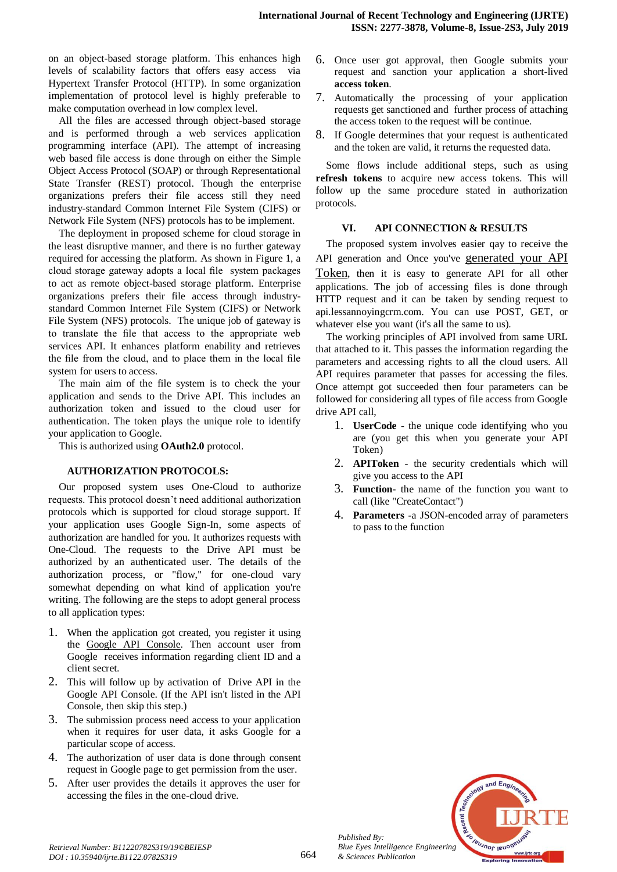on an object-based storage platform. This enhances high levels of scalability factors that offers easy access via Hypertext Transfer Protocol (HTTP). In some organization implementation of protocol level is highly preferable to make computation overhead in low complex level.

All the files are accessed through object-based storage and is performed through a web services application programming interface (API). The attempt of increasing web based file access is done through on either the Simple Object Access Protocol (SOAP) or through Representational State Transfer (REST) protocol. Though the enterprise organizations prefers their file access still they need industry-standard Common Internet File System (CIFS) or Network File System (NFS) protocols has to be implement.

The deployment in proposed scheme for cloud storage in the least disruptive manner, and there is no further gateway required for accessing the platform. As shown in Figure 1, a cloud storage gateway adopts a local file system packages to act as remote object-based storage platform. Enterprise organizations prefers their file access through industrystandard Common Internet File System (CIFS) or Network File System (NFS) protocols. The unique job of gateway is to translate the file that access to the appropriate web services API. It enhances platform enability and retrieves the file from the cloud, and to place them in the local file system for users to access.

The main aim of the file system is to check the your application and sends to the Drive API. This includes an authorization token and issued to the cloud user for authentication. The token plays the unique role to identify your application to Google.

This is authorized using **OAuth2.0** protocol.

## **AUTHORIZATION PROTOCOLS:**

Our proposed system uses One-Cloud to authorize requests. This protocol doesn't need additional authorization protocols which is supported for cloud storage support. If your application uses Google Sign-In, some aspects of authorization are handled for you. It authorizes requests with One-Cloud. The requests to the Drive API must be authorized by an authenticated user. The details of the authorization process, or "flow," for one-cloud vary somewhat depending on what kind of application you're writing. The following are the steps to adopt general process to all application types:

- 1. When the application got created, you register it using the [Google API Console.](https://console.developers.google.com/) Then account user from Google receives information regarding client ID and a client secret.
- 2. This will follow up by activation of Drive API in the Google API Console. (If the API isn't listed in the API Console, then skip this step.)
- 3. The submission process need access to your application when it requires for user data, it asks Google for a particular scope of access.
- 4. The authorization of user data is done through consent request in Google page to get permission from the user.
- 5. After user provides the details it approves the user for accessing the files in the one-cloud drive.
- 6. Once user got approval, then Google submits your request and sanction your application a short-lived **access token**.
- 7. Automatically the processing of your application requests get sanctioned and further process of attaching the access token to the request will be continue.
- 8. If Google determines that your request is authenticated and the token are valid, it returns the requested data.

Some flows include additional steps, such as using **refresh tokens** to acquire new access tokens. This will follow up the same procedure stated in authorization protocols.

## **VI. API CONNECTION & RESULTS**

The proposed system involves easier qay to receive the API generation and Once you've [generated your API](https://www.lessannoyingcrm.com/help/topic/API_Getting_Started/2/Generating+your+API+Token)  [Token](https://www.lessannoyingcrm.com/help/topic/API_Getting_Started/2/Generating+your+API+Token), then it is easy to generate API for all other applications. The job of accessing files is done through HTTP request and it can be taken by sending request to api.lessannoyingcrm.com. You can use POST, GET, or whatever else you want (it's all the same to us).

The working principles of API involved from same URL that attached to it. This passes the information regarding the parameters and accessing rights to all the cloud users. All API requires parameter that passes for accessing the files. Once attempt got succeeded then four parameters can be followed for considering all types of file access from Google drive API call,

- 1. **UserCode**  the unique code identifying who you are (you get this when you generate your API Token)
- 2. **APIToken**  the security credentials which will give you access to the API
- 3. **Function** the name of the function you want to call (like "CreateContact")
- 4. **Parameters -**a JSON-encoded array of parameters to pass to the function



*Published By:*

*& Sciences Publication*